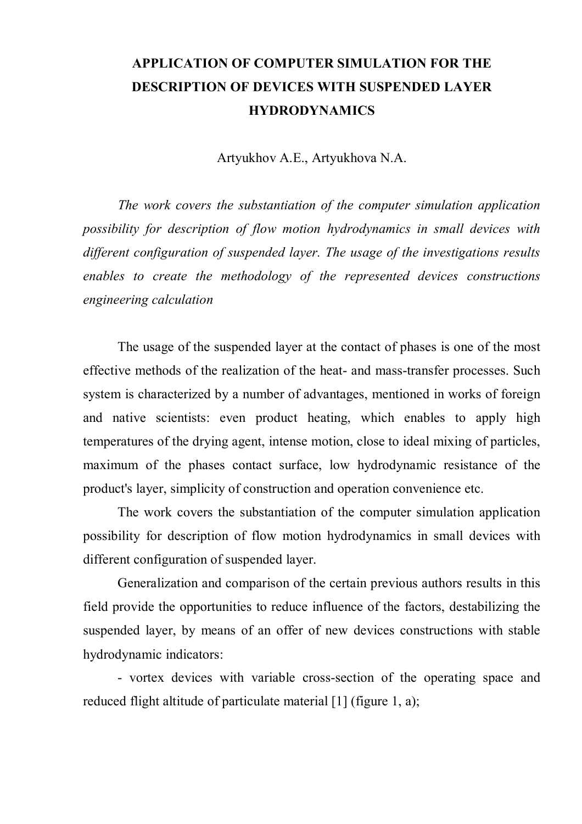## **APPLICATION OF COMPUTER SIMULATION FOR THE DESCRIPTION OF DEVICES WITH SUSPENDED LAYER HYDRODYNAMICS**

Artyukhov А.E., Artyukhova N.A.

*The work covers the substantiation of the computer simulation application possibility for description of flow motion hydrodynamics in small devices with different configuration of suspended layer. The usage of the investigations results enables to create the methodology of the represented devices constructions engineering calculation*

The usage of the suspended layer at the contact of phases is one of the most effective methods of the realization of the heat- and mass-transfer processes. Such system is characterized by a number of advantages, mentioned in works of foreign and native scientists: even product heating, which enables to apply high temperatures of the drying agent, intense motion, close to ideal mixing of particles, maximum of the phases contact surface, low hydrodynamic resistance of the product's layer, simplicity of construction and operation convenience etc.

The work covers the substantiation of the computer simulation application possibility for description of flow motion hydrodynamics in small devices with different configuration of suspended layer.

Generalization and comparison of the certain previous authors results in this field provide the opportunities to reduce influence of the factors, destabilizing the suspended layer, by means of an offer of new devices constructions with stable hydrodynamic indicators:

- vortex devices with variable cross-section of the operating space and reduced flight altitude of particulate material [1] (figure 1, a);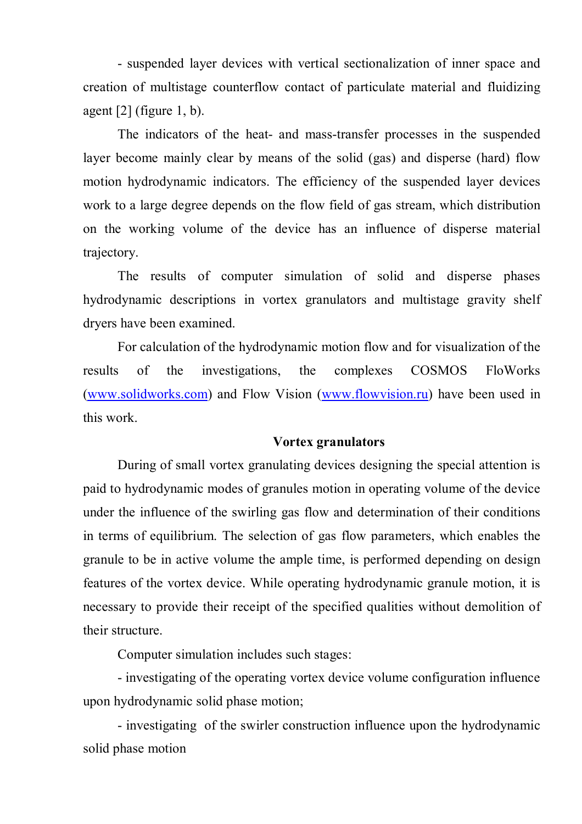- suspended layer devices with vertical sectionalization of inner space and creation of multistage counterflow contact of particulate material and fluidizing agent  $[2]$  (figure 1, b).

The indicators of the heat- and mass-transfer processes in the suspended layer become mainly clear by means of the solid (gas) and disperse (hard) flow motion hydrodynamic indicators. The efficiency of the suspended layer devices work to a large degree depends on the flow field of gas stream, which distribution on the working volume of the device has an influence of disperse material trajectory.

The results of computer simulation of solid and disperse phases hydrodynamic descriptions in vortex granulators and multistage gravity shelf dryers have been examined.

For calculation of the hydrodynamic motion flow and for visualization of the results of the investigations, the complexes COSMOS FloWorks (www.solidworks.com) and Flow Vision (www.flowvision.ru) have been used in this work.

## **Vortex granulators**

During of small vortex granulating devices designing the special attention is paid to hydrodynamic modes of granules motion in operating volume of the device under the influence of the swirling gas flow and determination of their conditions in terms of equilibrium. The selection of gas flow parameters, which enables the granule to be in active volume the ample time, is performed depending on design features of the vortex device. While operating hydrodynamic granule motion, it is necessary to provide their receipt of the specified qualities without demolition of their structure.

Computer simulation includes such stages:

- investigating of the operating vortex device volume configuration influence upon hydrodynamic solid phase motion;

- investigating of the swirler construction influence upon the hydrodynamic solid phase motion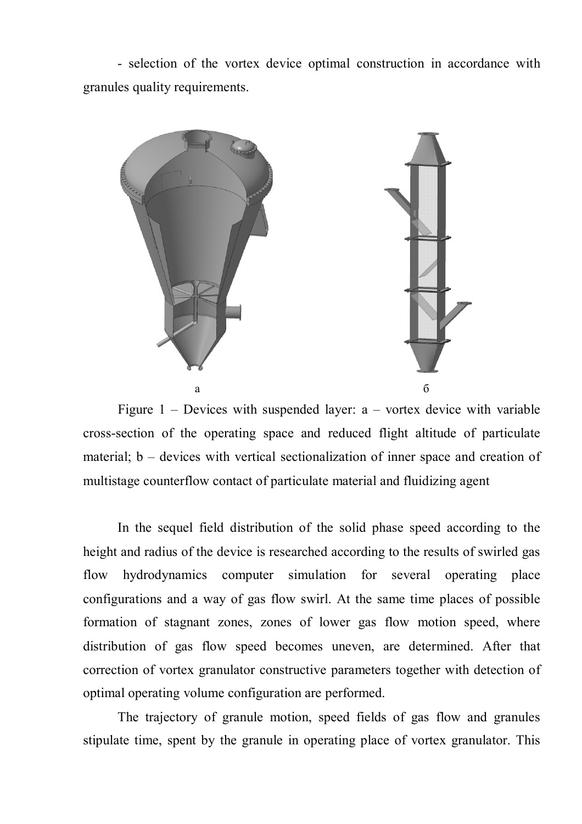- selection of the vortex device optimal construction in accordance with granules quality requirements.



Figure  $1$  – Devices with suspended layer:  $a$  – vortex device with variable cross-section of the operating space and reduced flight altitude of particulate material; b – devices with vertical sectionalization of inner space and creation of multistage counterflow contact of particulate material and fluidizing agent

In the sequel field distribution of the solid phase speed according to the height and radius of the device is researched according to the results of swirled gas flow hydrodynamics computer simulation for several operating place configurations and a way of gas flow swirl. At the same time places of possible formation of stagnant zones, zones of lower gas flow motion speed, where distribution of gas flow speed becomes uneven, are determined. After that correction of vortex granulator constructive parameters together with detection of optimal operating volume configuration are performed.

The trajectory of granule motion, speed fields of gas flow and granules stipulate time, spent by the granule in operating place of vortex granulator. This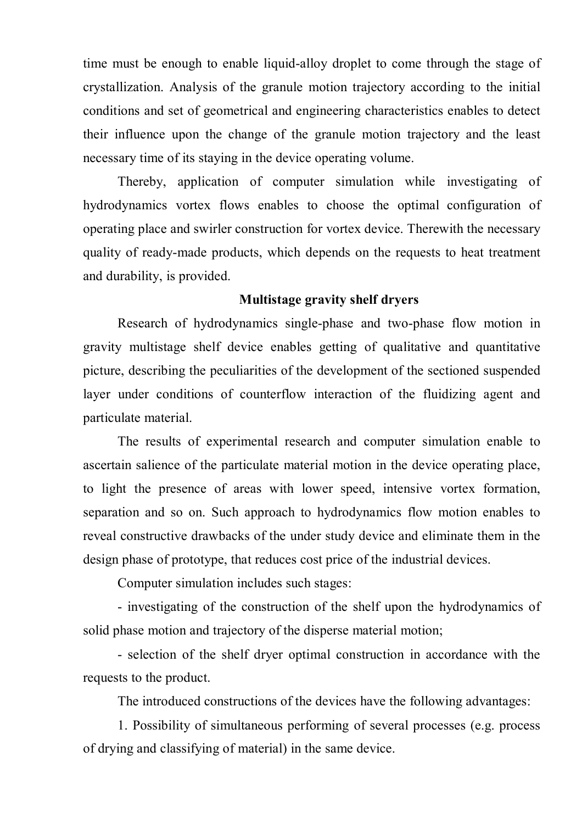time must be enough to enable liquid-alloy droplet to come through the stage of crystallization. Analysis of the granule motion trajectory according to the initial conditions and set of geometrical and engineering characteristics enables to detect their influence upon the change of the granule motion trajectory and the least necessary time of its staying in the device operating volume.

Thereby, application of computer simulation while investigating of hydrodynamics vortex flows enables to choose the optimal configuration of operating place and swirler construction for vortex device. Therewith the necessary quality of ready-made products, which depends on the requests to heat treatment and durability, is provided.

## **Multistage gravity shelf dryers**

Research of hydrodynamics single-phase and two-phase flow motion in gravity multistage shelf device enables getting of qualitative and quantitative picture, describing the peculiarities of the development of the sectioned suspended layer under conditions of counterflow interaction of the fluidizing agent and particulate material.

The results of experimental research and computer simulation enable to ascertain salience of the particulate material motion in the device operating place, to light the presence of areas with lower speed, intensive vortex formation, separation and so on. Such approach to hydrodynamics flow motion enables to reveal constructive drawbacks of the under study device and eliminate them in the design phase of prototype, that reduces cost price of the industrial devices.

Computer simulation includes such stages:

- investigating of the construction of the shelf upon the hydrodynamics of solid phase motion and trajectory of the disperse material motion;

- selection of the shelf dryer optimal construction in accordance with the requests to the product.

The introduced constructions of the devices have the following advantages:

1. Possibility of simultaneous performing of several processes (e.g. process of drying and classifying of material) in the same device.